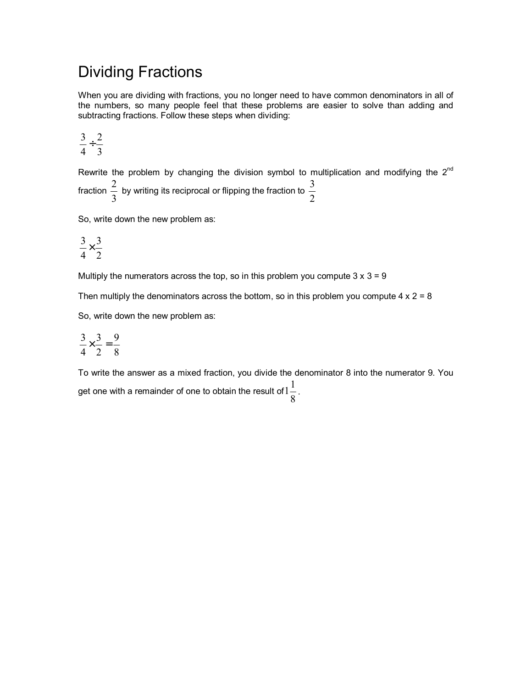## Dividing Fractions

When you are dividing with fractions, you no longer need to have common denominators in all of the numbers, so many people feel that these problems are easier to solve than adding and subtracting fractions. Follow these steps when dividing:

$$
\frac{3}{4} \div \frac{2}{3}
$$

Rewrite the problem by changing the division symbol to multiplication and modifying the 2<sup>nd</sup> fraction  $\frac{2}{3}$ 2 by writing its reciprocal or flipping the fraction to  $\frac{2}{2}$ 3

So, write down the new problem as:

$$
\frac{3}{4} \times \frac{3}{2}
$$

Multiply the numerators across the top, so in this problem you compute  $3 \times 3 = 9$ 

Then multiply the denominators across the bottom, so in this problem you compute  $4 \times 2 = 8$ 

So, write down the new problem as:

$$
\frac{3}{4} \times \frac{3}{2} = \frac{9}{8}
$$

To write the answer as a mixed fraction, you divide the denominator 8 into the numerator 9. You get one with a remainder of one to obtain the result of  $1\frac{\tilde{}}{8}$  $1\frac{1}{2}$ .